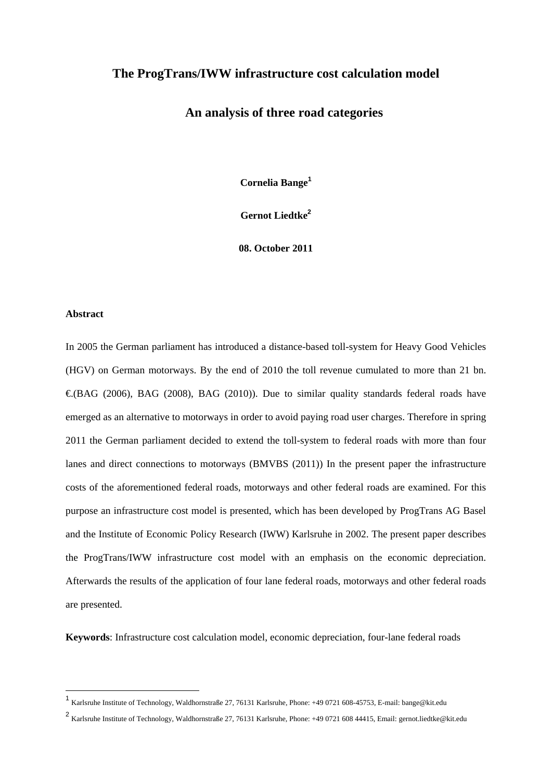# **The ProgTrans/IWW infrastructure cost calculation model**

# **An analysis of three road categories**

**Cornelia Bange<sup>1</sup>**

**Gernot Liedtke<sup>2</sup>**

**08. October 2011** 

# **Abstract**

In 2005 the German parliament has introduced a distance-based toll-system for Heavy Good Vehicles (HGV) on German motorways. By the end of 2010 the toll revenue cumulated to more than 21 bn.  $\epsilon$ (BAG (2006), BAG (2008), BAG (2010)). Due to similar quality standards federal roads have emerged as an alternative to motorways in order to avoid paying road user charges. Therefore in spring 2011 the German parliament decided to extend the toll-system to federal roads with more than four lanes and direct connections to motorways (BMVBS (2011)) In the present paper the infrastructure costs of the aforementioned federal roads, motorways and other federal roads are examined. For this purpose an infrastructure cost model is presented, which has been developed by ProgTrans AG Basel and the Institute of Economic Policy Research (IWW) Karlsruhe in 2002. The present paper describes the ProgTrans/IWW infrastructure cost model with an emphasis on the economic depreciation. Afterwards the results of the application of four lane federal roads, motorways and other federal roads are presented.

**Keywords**: Infrastructure cost calculation model, economic depreciation, four-lane federal roads

<sup>1</sup> Karlsruhe Institute of Technology, Waldhornstraße 27, 76131 Karlsruhe, Phone: +49 0721 608-45753, E-mail: bange@kit.edu

<sup>2</sup> Karlsruhe Institute of Technology, Waldhornstraße 27, 76131 Karlsruhe, Phone: +49 0721 608 44415, Email: gernot.liedtke@kit.edu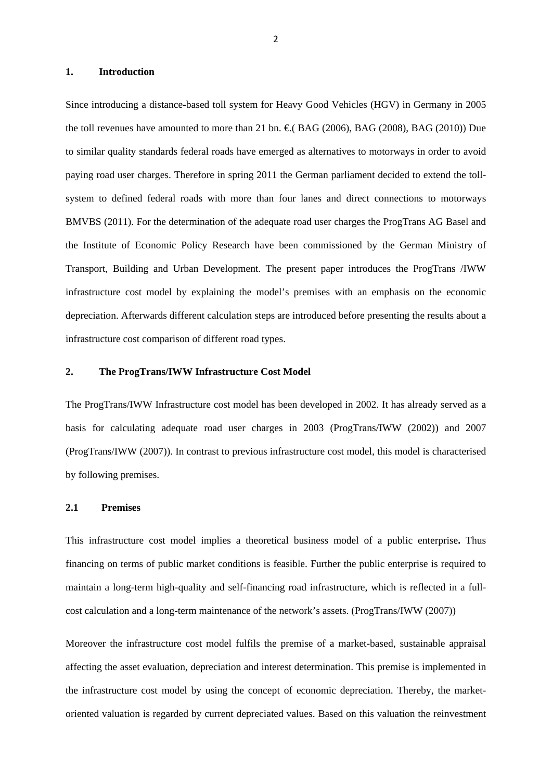# **1. Introduction**

Since introducing a distance-based toll system for Heavy Good Vehicles (HGV) in Germany in 2005 the toll revenues have amounted to more than 21 bn.  $\epsilon$ (BAG (2006), BAG (2008), BAG (2010)) Due to similar quality standards federal roads have emerged as alternatives to motorways in order to avoid paying road user charges. Therefore in spring 2011 the German parliament decided to extend the tollsystem to defined federal roads with more than four lanes and direct connections to motorways BMVBS (2011). For the determination of the adequate road user charges the ProgTrans AG Basel and the Institute of Economic Policy Research have been commissioned by the German Ministry of Transport, Building and Urban Development. The present paper introduces the ProgTrans /IWW infrastructure cost model by explaining the model's premises with an emphasis on the economic depreciation. Afterwards different calculation steps are introduced before presenting the results about a infrastructure cost comparison of different road types.

## **2. The ProgTrans/IWW Infrastructure Cost Model**

The ProgTrans/IWW Infrastructure cost model has been developed in 2002. It has already served as a basis for calculating adequate road user charges in 2003 (ProgTrans/IWW (2002)) and 2007 (ProgTrans/IWW (2007)). In contrast to previous infrastructure cost model, this model is characterised by following premises.

# **2.1 Premises**

This infrastructure cost model implies a theoretical business model of a public enterprise**.** Thus financing on terms of public market conditions is feasible. Further the public enterprise is required to maintain a long-term high-quality and self-financing road infrastructure, which is reflected in a fullcost calculation and a long-term maintenance of the network's assets. (ProgTrans/IWW (2007))

Moreover the infrastructure cost model fulfils the premise of a market-based, sustainable appraisal affecting the asset evaluation, depreciation and interest determination. This premise is implemented in the infrastructure cost model by using the concept of economic depreciation. Thereby, the marketoriented valuation is regarded by current depreciated values. Based on this valuation the reinvestment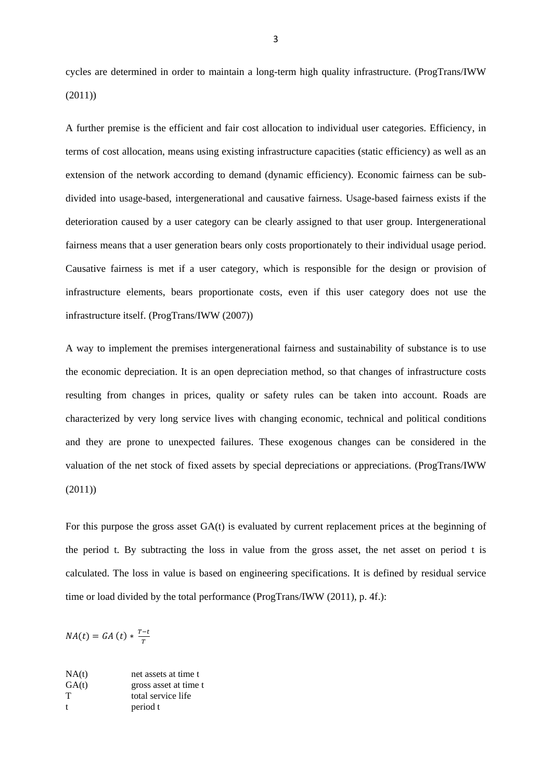cycles are determined in order to maintain a long-term high quality infrastructure. (ProgTrans/IWW (2011))

A further premise is the efficient and fair cost allocation to individual user categories. Efficiency, in terms of cost allocation, means using existing infrastructure capacities (static efficiency) as well as an extension of the network according to demand (dynamic efficiency). Economic fairness can be subdivided into usage-based, intergenerational and causative fairness. Usage-based fairness exists if the deterioration caused by a user category can be clearly assigned to that user group. Intergenerational fairness means that a user generation bears only costs proportionately to their individual usage period. Causative fairness is met if a user category, which is responsible for the design or provision of infrastructure elements, bears proportionate costs, even if this user category does not use the infrastructure itself. (ProgTrans/IWW (2007))

A way to implement the premises intergenerational fairness and sustainability of substance is to use the economic depreciation. It is an open depreciation method, so that changes of infrastructure costs resulting from changes in prices, quality or safety rules can be taken into account. Roads are characterized by very long service lives with changing economic, technical and political conditions and they are prone to unexpected failures. These exogenous changes can be considered in the valuation of the net stock of fixed assets by special depreciations or appreciations. (ProgTrans/IWW (2011))

For this purpose the gross asset GA(t) is evaluated by current replacement prices at the beginning of the period t. By subtracting the loss in value from the gross asset, the net asset on period t is calculated. The loss in value is based on engineering specifications. It is defined by residual service time or load divided by the total performance (ProgTrans/IWW (2011), p. 4f.):

 $NA(t) = GA(t) * \frac{T-t}{T}$ 

| NA(t)        | net assets at time t  |
|--------------|-----------------------|
| GA(t)        | gross asset at time t |
| т            | total service life    |
| $\mathbf{f}$ | period t              |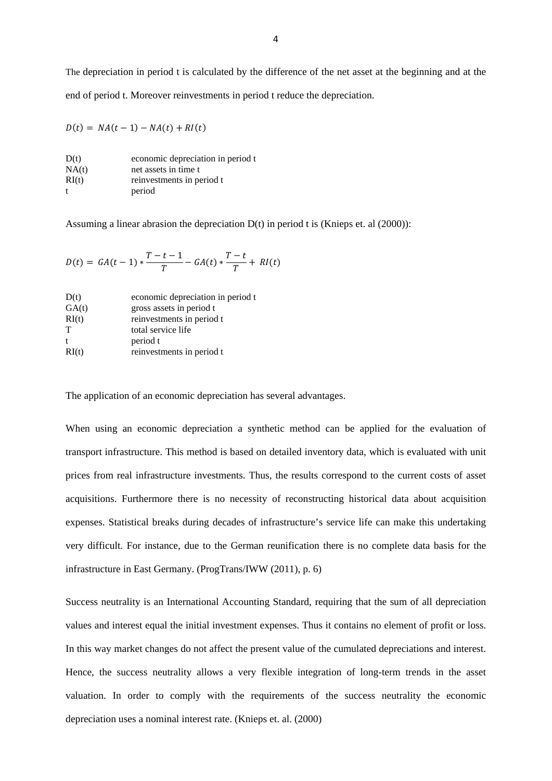The depreciation in period t is calculated by the difference of the net asset at the beginning and at the end of period t. Moreover reinvestments in period t reduce the depreciation.

$$
D(t) = NA(t-1) - NA(t) + RI(t)
$$

| D(t)  | economic depreciation in period t |
|-------|-----------------------------------|
| NA(t) | net assets in time t              |
| RI(t) | reinvestments in period t         |
| t     | period                            |

Assuming a linear abrasion the depreciation D(t) in period t is (Knieps et. al (2000)):

$$
D(t) = GA(t-1) * \frac{T-t-1}{T} - GA(t) * \frac{T-t}{T} + RI(t)
$$

| D(t)         | economic depreciation in period t |
|--------------|-----------------------------------|
| GA(t)        | gross assets in period t          |
| RI(t)        | reinvestments in period t         |
| T            | total service life                |
| $\mathbf{f}$ | period t                          |
| RI(t)        | reinvestments in period t         |
|              |                                   |

The application of an economic depreciation has several advantages.

When using an economic depreciation a synthetic method can be applied for the evaluation of transport infrastructure. This method is based on detailed inventory data, which is evaluated with unit prices from real infrastructure investments. Thus, the results correspond to the current costs of asset acquisitions. Furthermore there is no necessity of reconstructing historical data about acquisition expenses. Statistical breaks during decades of infrastructure's service life can make this undertaking very difficult. For instance, due to the German reunification there is no complete data basis for the infrastructure in East Germany. (ProgTrans/IWW (2011), p. 6)

Success neutrality is an International Accounting Standard, requiring that the sum of all depreciation values and interest equal the initial investment expenses. Thus it contains no element of profit or loss. In this way market changes do not affect the present value of the cumulated depreciations and interest. Hence, the success neutrality allows a very flexible integration of long-term trends in the asset valuation. In order to comply with the requirements of the success neutrality the economic depreciation uses a nominal interest rate. (Knieps et. al. (2000)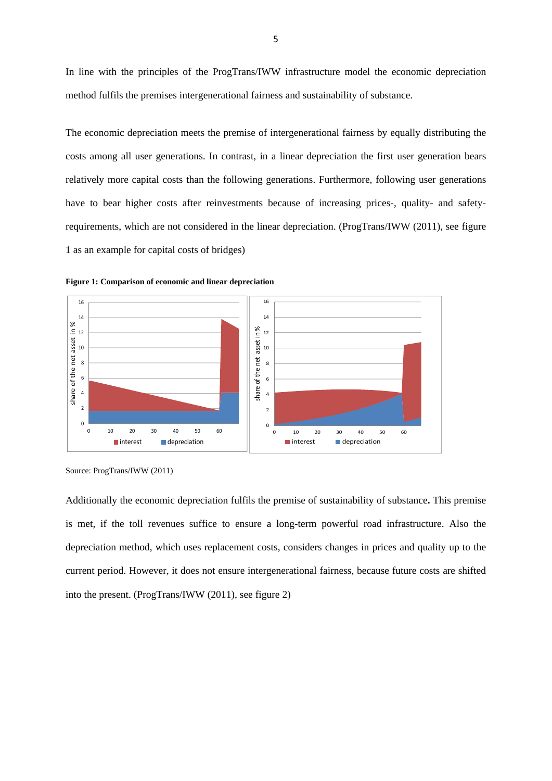In line with the principles of the ProgTrans/IWW infrastructure model the economic depreciation method fulfils the premises intergenerational fairness and sustainability of substance.

The economic depreciation meets the premise of intergenerational fairness by equally distributing the costs among all user generations. In contrast, in a linear depreciation the first user generation bears relatively more capital costs than the following generations. Furthermore, following user generations have to bear higher costs after reinvestments because of increasing prices-, quality- and safetyrequirements, which are not considered in the linear depreciation. (ProgTrans/IWW (2011), see figure 1 as an example for capital costs of bridges)



**Figure 1: Comparison of economic and linear depreciation** 

Additionally the economic depreciation fulfils the premise of sustainability of substance**.** This premise is met, if the toll revenues suffice to ensure a long-term powerful road infrastructure. Also the depreciation method, which uses replacement costs, considers changes in prices and quality up to the current period. However, it does not ensure intergenerational fairness, because future costs are shifted into the present. (ProgTrans/IWW (2011), see figure 2)

Source: ProgTrans/IWW (2011)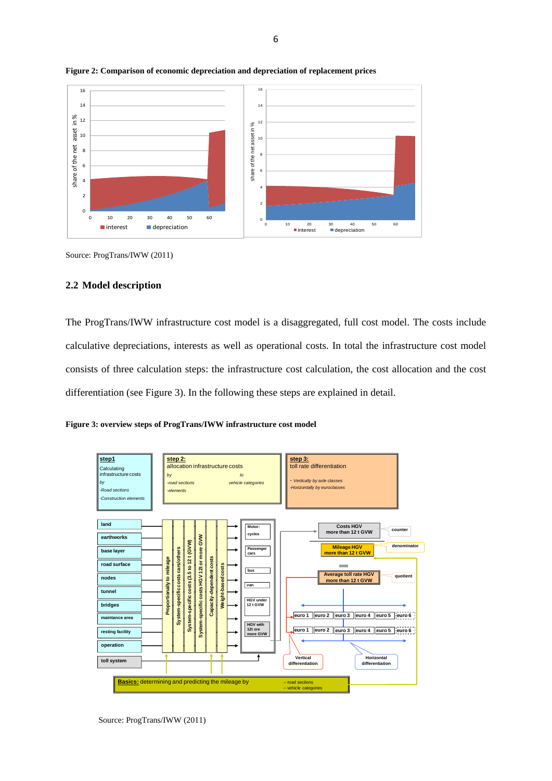

#### **Figure 2: Comparison of economic depreciation and depreciation of replacement prices**

Source: ProgTrans/IWW (2011)

### **2.2 Model description**

The ProgTrans/IWW infrastructure cost model is a disaggregated, full cost model. The costs include calculative depreciations, interests as well as operational costs. In total the infrastructure cost model consists of three calculation steps: the infrastructure cost calculation, the cost allocation and the cost differentiation (see Figure 3). In the following these steps are explained in detail.

**Figure 3: overview steps of ProgTrans/IWW infrastructure cost model** 

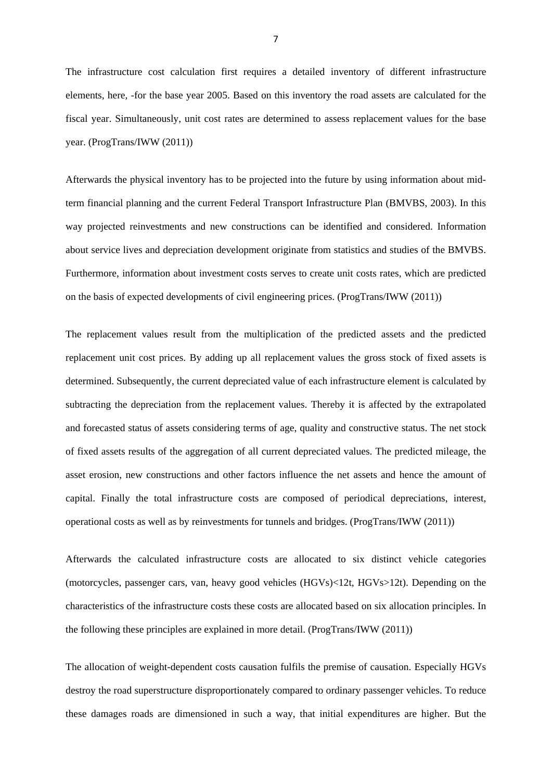The infrastructure cost calculation first requires a detailed inventory of different infrastructure elements, here, -for the base year 2005. Based on this inventory the road assets are calculated for the fiscal year. Simultaneously, unit cost rates are determined to assess replacement values for the base year. (ProgTrans/IWW (2011))

Afterwards the physical inventory has to be projected into the future by using information about midterm financial planning and the current Federal Transport Infrastructure Plan (BMVBS, 2003). In this way projected reinvestments and new constructions can be identified and considered. Information about service lives and depreciation development originate from statistics and studies of the BMVBS. Furthermore, information about investment costs serves to create unit costs rates, which are predicted on the basis of expected developments of civil engineering prices. (ProgTrans/IWW (2011))

The replacement values result from the multiplication of the predicted assets and the predicted replacement unit cost prices. By adding up all replacement values the gross stock of fixed assets is determined. Subsequently, the current depreciated value of each infrastructure element is calculated by subtracting the depreciation from the replacement values. Thereby it is affected by the extrapolated and forecasted status of assets considering terms of age, quality and constructive status. The net stock of fixed assets results of the aggregation of all current depreciated values. The predicted mileage, the asset erosion, new constructions and other factors influence the net assets and hence the amount of capital. Finally the total infrastructure costs are composed of periodical depreciations, interest, operational costs as well as by reinvestments for tunnels and bridges. (ProgTrans/IWW (2011))

Afterwards the calculated infrastructure costs are allocated to six distinct vehicle categories (motorcycles, passenger cars, van, heavy good vehicles (HGVs)<12t, HGVs>12t). Depending on the characteristics of the infrastructure costs these costs are allocated based on six allocation principles. In the following these principles are explained in more detail. (ProgTrans/IWW (2011))

The allocation of weight-dependent costs causation fulfils the premise of causation. Especially HGVs destroy the road superstructure disproportionately compared to ordinary passenger vehicles. To reduce these damages roads are dimensioned in such a way, that initial expenditures are higher. But the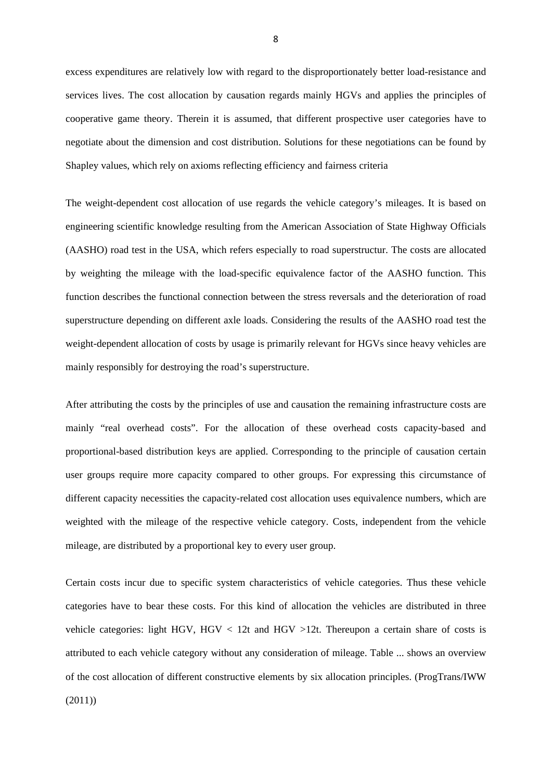excess expenditures are relatively low with regard to the disproportionately better load-resistance and services lives. The cost allocation by causation regards mainly HGVs and applies the principles of cooperative game theory. Therein it is assumed, that different prospective user categories have to negotiate about the dimension and cost distribution. Solutions for these negotiations can be found by Shapley values, which rely on axioms reflecting efficiency and fairness criteria

The weight-dependent cost allocation of use regards the vehicle category's mileages. It is based on engineering scientific knowledge resulting from the American Association of State Highway Officials (AASHO) road test in the USA, which refers especially to road superstructur. The costs are allocated by weighting the mileage with the load-specific equivalence factor of the AASHO function. This function describes the functional connection between the stress reversals and the deterioration of road superstructure depending on different axle loads. Considering the results of the AASHO road test the weight-dependent allocation of costs by usage is primarily relevant for HGVs since heavy vehicles are mainly responsibly for destroying the road's superstructure.

After attributing the costs by the principles of use and causation the remaining infrastructure costs are mainly "real overhead costs". For the allocation of these overhead costs capacity-based and proportional-based distribution keys are applied. Corresponding to the principle of causation certain user groups require more capacity compared to other groups. For expressing this circumstance of different capacity necessities the capacity-related cost allocation uses equivalence numbers, which are weighted with the mileage of the respective vehicle category. Costs, independent from the vehicle mileage, are distributed by a proportional key to every user group.

Certain costs incur due to specific system characteristics of vehicle categories. Thus these vehicle categories have to bear these costs. For this kind of allocation the vehicles are distributed in three vehicle categories: light HGV, HGV  $< 12t$  and HGV  $>12t$ . Thereupon a certain share of costs is attributed to each vehicle category without any consideration of mileage. Table ... shows an overview of the cost allocation of different constructive elements by six allocation principles. (ProgTrans/IWW (2011))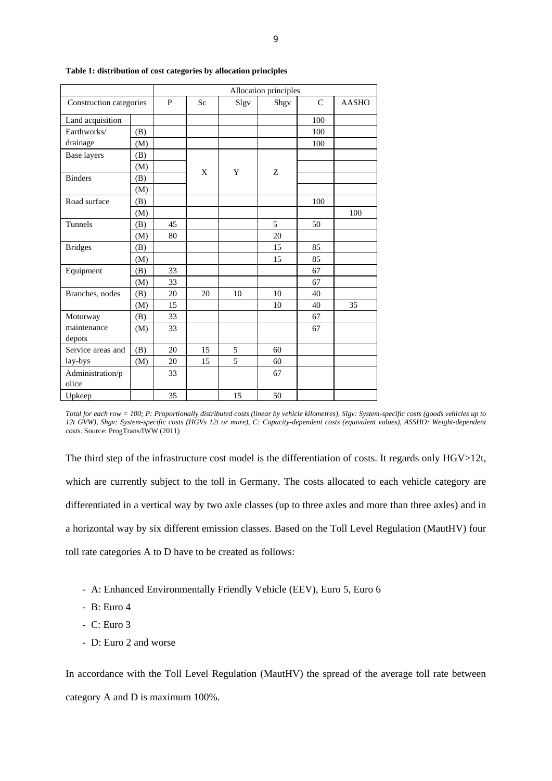|                         |     | Allocation principles |           |      |      |               |              |  |
|-------------------------|-----|-----------------------|-----------|------|------|---------------|--------------|--|
| Construction categories |     | P                     | <b>Sc</b> | Slgv | Shgv | $\mathcal{C}$ | <b>AASHO</b> |  |
| Land acquisition        |     |                       |           |      |      | 100           |              |  |
| Earthworks/             | (B) |                       |           |      |      | 100           |              |  |
| drainage                | (M) |                       |           |      |      | 100           |              |  |
| Base layers             | (B) |                       |           |      |      |               |              |  |
|                         | (M) |                       | X         | Y    |      |               |              |  |
| <b>Binders</b>          | (B) |                       |           |      | Z    |               |              |  |
|                         | (M) |                       |           |      |      |               |              |  |
| Road surface            | (B) |                       |           |      |      | 100           |              |  |
|                         | (M) |                       |           |      |      |               | 100          |  |
| Tunnels                 | (B) | 45                    |           |      | 5    | 50            |              |  |
|                         | (M) | 80                    |           |      | 20   |               |              |  |
| <b>Bridges</b>          | (B) |                       |           |      | 15   | 85            |              |  |
|                         | (M) |                       |           |      | 15   | 85            |              |  |
| Equipment               | (B) | 33                    |           |      |      | 67            |              |  |
|                         | (M) | 33                    |           |      |      | 67            |              |  |
| Branches, nodes         | (B) | 20                    | 20        | 10   | 10   | 40            |              |  |
|                         | (M) | 15                    |           |      | 10   | 40            | 35           |  |
| Motorway                | (B) | 33                    |           |      |      | 67            |              |  |
| maintenance             | (M) | 33                    |           |      |      | 67            |              |  |
| depots                  |     |                       |           |      |      |               |              |  |
| Service areas and       | (B) | 20                    | 15        | 5    | 60   |               |              |  |
| lay-bys                 | (M) | 20                    | 15        | 5    | 60   |               |              |  |
| Administration/p        |     | 33                    |           |      | 67   |               |              |  |
| olice                   |     |                       |           |      |      |               |              |  |
| Upkeep                  |     | 35                    |           | 15   | 50   |               |              |  |

#### **Table 1: distribution of cost categories by allocation principles**

*Total for each row = 100; P: Proportionally distributed costs (linear by vehicle kilometres), Slgv: System-specific costs (goods vehicles up to 12t GVW), Shgv: System-specific costs (HGVs 12t or more), C: Capacity-dependent costs (equivalent values), ASSHO: Weight-dependent costs*. Source: ProgTrans/IWW (2011)

The third step of the infrastructure cost model is the differentiation of costs. It regards only HGV>12t, which are currently subject to the toll in Germany. The costs allocated to each vehicle category are differentiated in a vertical way by two axle classes (up to three axles and more than three axles) and in a horizontal way by six different emission classes. Based on the Toll Level Regulation (MautHV) four toll rate categories A to D have to be created as follows:

- A: Enhanced Environmentally Friendly Vehicle (EEV), Euro 5, Euro 6
- B: Euro 4
- C: Euro 3
- D: Euro 2 and worse

In accordance with the Toll Level Regulation (MautHV) the spread of the average toll rate between category A and D is maximum 100%.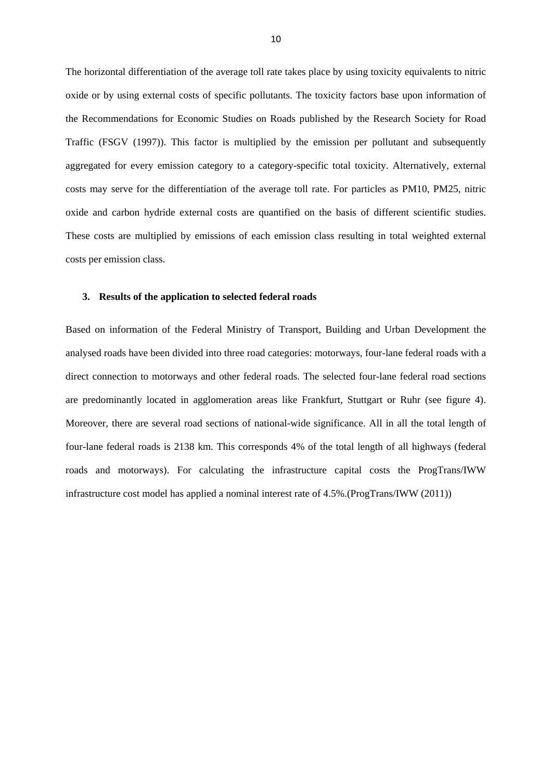The horizontal differentiation of the average toll rate takes place by using toxicity equivalents to nitric oxide or by using external costs of specific pollutants. The toxicity factors base upon information of the Recommendations for Economic Studies on Roads published by the Research Society for Road Traffic (FSGV (1997)). This factor is multiplied by the emission per pollutant and subsequently aggregated for every emission category to a category-specific total toxicity. Alternatively, external costs may serve for the differentiation of the average toll rate. For particles as PM10, PM25, nitric oxide and carbon hydride external costs are quantified on the basis of different scientific studies. These costs are multiplied by emissions of each emission class resulting in total weighted external costs per emission class.

### **3. Results of the application to selected federal roads**

Based on information of the Federal Ministry of Transport, Building and Urban Development the analysed roads have been divided into three road categories: motorways, four-lane federal roads with a direct connection to motorways and other federal roads. The selected four-lane federal road sections are predominantly located in agglomeration areas like Frankfurt, Stuttgart or Ruhr (see figure 4). Moreover, there are several road sections of national-wide significance. All in all the total length of four-lane federal roads is 2138 km. This corresponds 4% of the total length of all highways (federal roads and motorways). For calculating the infrastructure capital costs the ProgTrans/IWW infrastructure cost model has applied a nominal interest rate of 4.5%.(ProgTrans/IWW (2011))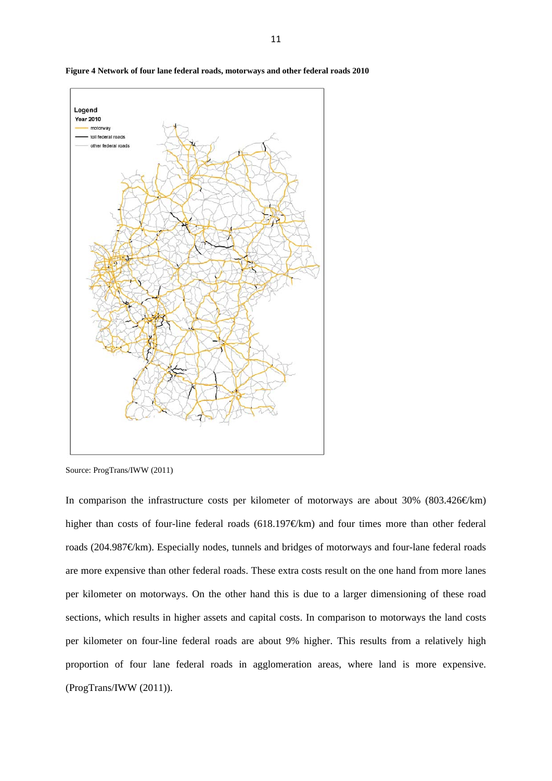

**Figure 4 Network of four lane federal roads, motorways and other federal roads 2010** 

Source: ProgTrans/IWW (2011)

In comparison the infrastructure costs per kilometer of motorways are about 30% (803.426 $\in$ km) higher than costs of four-line federal roads (618.197€/km) and four times more than other federal roads (204.987€/km). Especially nodes, tunnels and bridges of motorways and four-lane federal roads are more expensive than other federal roads. These extra costs result on the one hand from more lanes per kilometer on motorways. On the other hand this is due to a larger dimensioning of these road sections, which results in higher assets and capital costs. In comparison to motorways the land costs per kilometer on four-line federal roads are about 9% higher. This results from a relatively high proportion of four lane federal roads in agglomeration areas, where land is more expensive. (ProgTrans/IWW (2011)).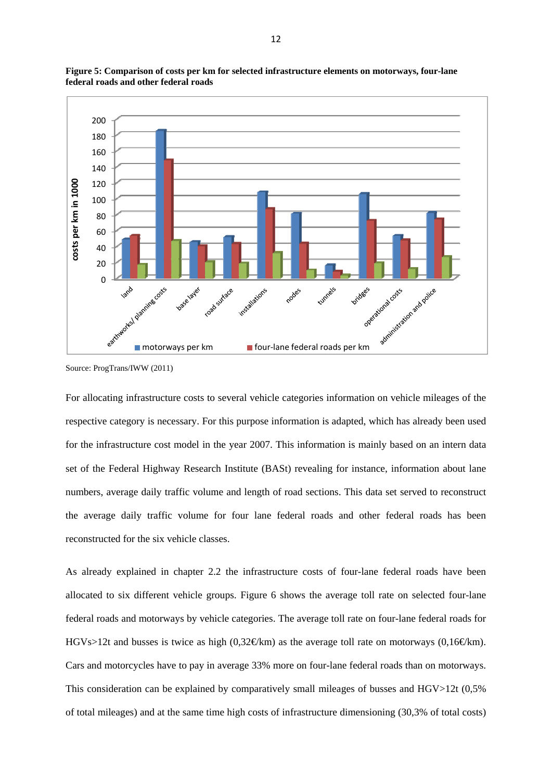



For allocating infrastructure costs to several vehicle categories information on vehicle mileages of the respective category is necessary. For this purpose information is adapted, which has already been used for the infrastructure cost model in the year 2007. This information is mainly based on an intern data set of the Federal Highway Research Institute (BASt) revealing for instance, information about lane numbers, average daily traffic volume and length of road sections. This data set served to reconstruct the average daily traffic volume for four lane federal roads and other federal roads has been reconstructed for the six vehicle classes.

As already explained in chapter 2.2 the infrastructure costs of four-lane federal roads have been allocated to six different vehicle groups. Figure 6 shows the average toll rate on selected four-lane federal roads and motorways by vehicle categories. The average toll rate on four-lane federal roads for HGVs>12t and busses is twice as high (0,32€km) as the average toll rate on motorways (0,16€km). Cars and motorcycles have to pay in average 33% more on four-lane federal roads than on motorways. This consideration can be explained by comparatively small mileages of busses and HGV>12t (0,5% of total mileages) and at the same time high costs of infrastructure dimensioning (30,3% of total costs)

Source: ProgTrans/IWW (2011)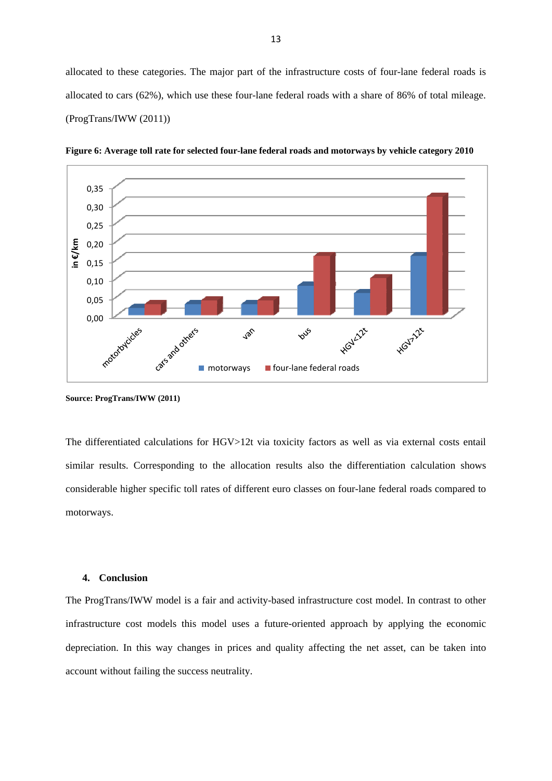allocated to these categories. The major part of the infrastructure costs of four-lane federal roads is allocated to cars (62%), which use these four-lane federal roads with a share of 86% of total mileage. (ProgTrans/IWW (2011))



**Figure 6: Average toll rate for selected four-lane federal roads and motorways by vehicle category 2010** 

**Source: ProgTrans/IWW (2011)** 

The differentiated calculations for HGV>12t via toxicity factors as well as via external costs entail similar results. Corresponding to the allocation results also the differentiation calculation shows considerable higher specific toll rates of different euro classes on four-lane federal roads compared to motorways.

### **4. Conclusion**

The ProgTrans/IWW model is a fair and activity-based infrastructure cost model. In contrast to other infrastructure cost models this model uses a future-oriented approach by applying the economic depreciation. In this way changes in prices and quality affecting the net asset, can be taken into account without failing the success neutrality.